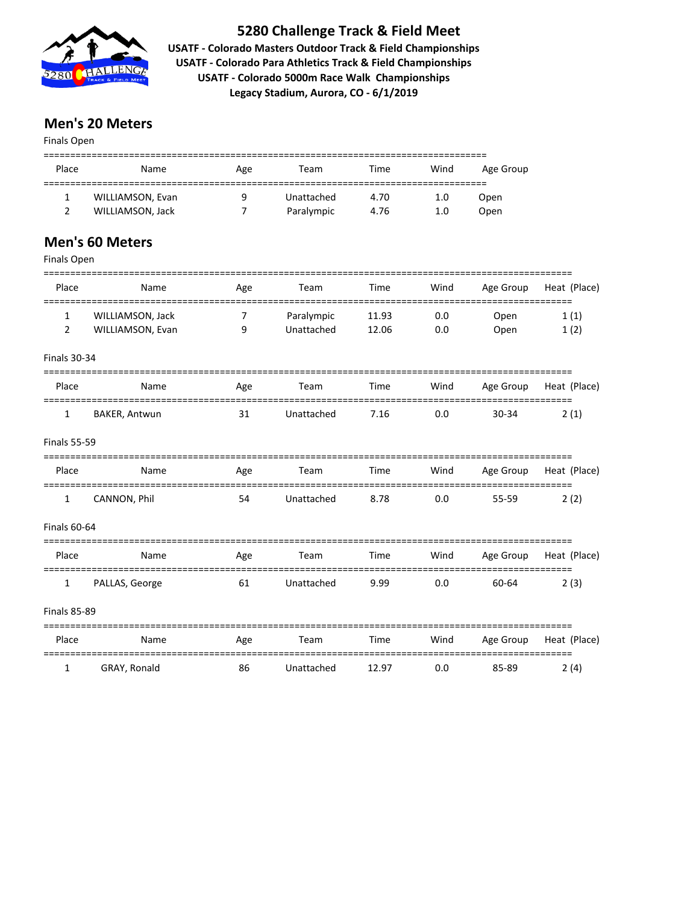

**USATF - Colorado Masters Outdoor Track & Field Championships Legacy Stadium, Aurora, CO - 6/1/2019 USATF - Colorado Para Athletics Track & Field Championships USATF - Colorado 5000m Race Walk Championships**

## **Men's 20 Meters**

| <b>Finals Open</b>            |                                        |                            |                          |                |                            |                                             |              |
|-------------------------------|----------------------------------------|----------------------------|--------------------------|----------------|----------------------------|---------------------------------------------|--------------|
| ==============<br>Place       | Name                                   | Age                        | Team                     | Time           | ==================<br>Wind | Age Group                                   |              |
| ======<br>1<br>$\overline{2}$ | WILLIAMSON, Evan<br>WILLIAMSON, Jack   | 9<br>7                     | Unattached<br>Paralympic | 4.70<br>4.76   | 1.0<br>1.0                 | Open<br>Open                                |              |
|                               |                                        |                            |                          |                |                            |                                             |              |
| Finals Open                   | <b>Men's 60 Meters</b>                 |                            |                          |                |                            |                                             |              |
| ===============<br>Place      | Name                                   | Age                        | Team                     | Time           | Wind                       | Age Group                                   | Heat (Place) |
| 1<br>$\overline{2}$           | WILLIAMSON, Jack<br>WILLIAMSON, Evan   | 7<br>9                     | Paralympic<br>Unattached | 11.93<br>12.06 | 0.0<br>0.0                 | Open<br>Open                                | 1(1)<br>1(2) |
| <b>Finals 30-34</b>           |                                        |                            |                          |                |                            |                                             |              |
| Place                         | Name<br>============================== | Age<br>------------------- | Team                     | Time           | Wind                       | Age Group<br>===========================    | Heat (Place) |
| $\mathbf{1}$                  | BAKER, Antwun                          | 31                         | Unattached               | 7.16           | 0.0                        | 30-34                                       | 2(1)         |
| <b>Finals 55-59</b>           |                                        |                            |                          |                |                            |                                             |              |
| ==========<br>Place           | Name                                   | Age                        | Team                     | Time           | Wind                       | ==============================<br>Age Group | Heat (Place) |
| 1                             | CANNON, Phil                           | 54                         | Unattached               | 8.78           | 0.0                        | 55-59                                       | 2(2)         |
| <b>Finals 60-64</b>           |                                        |                            |                          |                |                            |                                             |              |
| Place                         | Name                                   | Age                        | Team                     | Time           | Wind                       | ==============<br>Age Group                 | Heat (Place) |
| 1                             | PALLAS, George                         | 61                         | Unattached               | 9.99           | 0.0                        | 60-64                                       | 2(3)         |
| <b>Finals 85-89</b>           |                                        |                            |                          |                |                            |                                             |              |
| Place                         | Name                                   | Age                        | Team                     | Time           | Wind                       | Age Group                                   | Heat (Place) |
| $\mathbf{1}$                  | GRAY, Ronald                           | 86                         | Unattached               | 12.97          | 0.0                        | 85-89                                       | 2(4)         |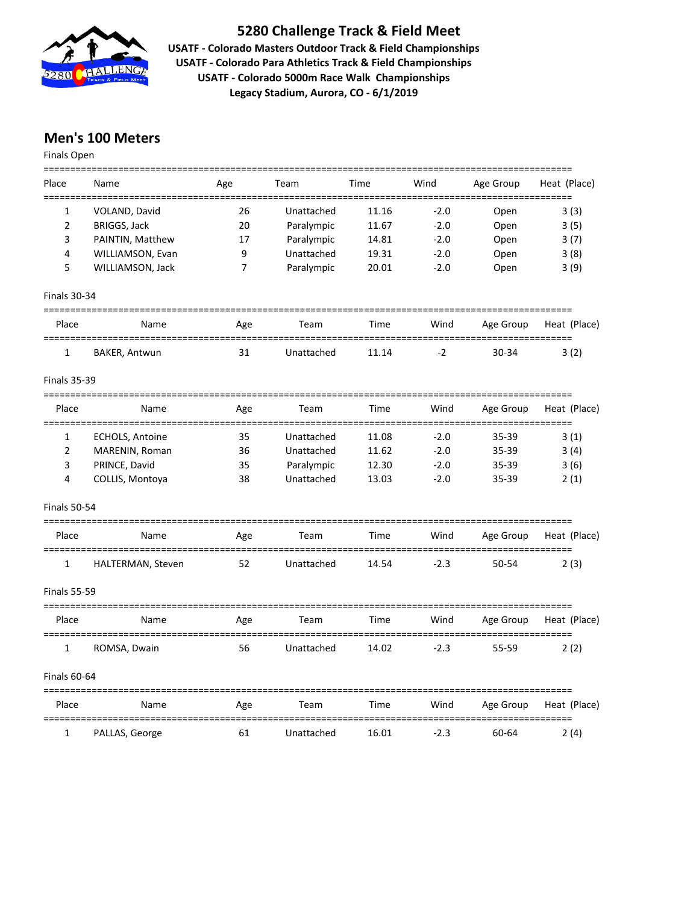

**USATF - Colorado Masters Outdoor Track & Field Championships Legacy Stadium, Aurora, CO - 6/1/2019 USATF - Colorado Para Athletics Track & Field Championships USATF - Colorado 5000m Race Walk Championships**

#### **Men's 100 Meters**

#### Finals Open

| Place               | Name                                            | Age                             | Team       | Time                          | Wind   | ------------------------------<br>Age Group | Heat (Place)       |
|---------------------|-------------------------------------------------|---------------------------------|------------|-------------------------------|--------|---------------------------------------------|--------------------|
| 1                   | VOLAND, David                                   | 26                              | Unattached | 11.16                         | $-2.0$ | Open                                        | 3(3)               |
| $\overline{2}$      | BRIGGS, Jack                                    | 20                              | Paralympic | 11.67                         | $-2.0$ | Open                                        | 3(5)               |
| 3                   | PAINTIN, Matthew                                | 17                              | Paralympic | 14.81                         | $-2.0$ | Open                                        | 3(7)               |
| 4                   | WILLIAMSON, Evan                                | 9                               | Unattached | 19.31                         | $-2.0$ | Open                                        | 3(8)               |
| 5                   | WILLIAMSON, Jack                                | $\overline{7}$                  | Paralympic | 20.01                         | $-2.0$ | Open                                        | 3(9)               |
| <b>Finals 30-34</b> |                                                 |                                 |            |                               |        |                                             |                    |
| Place               | Name                                            | Age                             | Team       | Time                          | Wind   | Age Group                                   | Heat (Place)       |
| $\mathbf{1}$        | BAKER, Antwun                                   | 31                              | Unattached | 11.14                         | $-2$   | 30-34                                       | 3(2)               |
| <b>Finals 35-39</b> |                                                 |                                 |            |                               |        |                                             |                    |
| Place               | Name                                            | Age                             | Team       | Time                          | Wind   | ----------------<br>Age Group               | Heat (Place)       |
| 1                   | <b>ECHOLS, Antoine</b>                          | 35                              | Unattached | 11.08                         | $-2.0$ | 35-39                                       | 3(1)               |
| $\overline{2}$      | MARENIN, Roman                                  | 36                              | Unattached | 11.62                         | $-2.0$ | 35-39                                       | 3(4)               |
| 3                   | PRINCE, David                                   | 35                              | Paralympic | 12.30                         | $-2.0$ | 35-39                                       | 3(6)               |
| 4                   | COLLIS, Montoya                                 | 38                              | Unattached | 13.03                         | $-2.0$ | 35-39                                       | 2(1)               |
| <b>Finals 50-54</b> |                                                 |                                 |            |                               |        |                                             |                    |
| Place               | Name                                            | Age                             | Team       | Time                          | Wind   | ----------------<br>Age Group               | Heat (Place)       |
| 1                   | HALTERMAN, Steven                               | 52                              | Unattached | 14.54                         | $-2.3$ | 50-54                                       | ==========<br>2(3) |
| <b>Finals 55-59</b> |                                                 |                                 |            |                               |        |                                             |                    |
| Place               | Name                                            | Age                             | Team       | Time                          | Wind   | Age Group                                   | Heat (Place)       |
| 1                   | ===============================<br>ROMSA, Dwain | =========================<br>56 | Unattached | ====================<br>14.02 | $-2.3$ | ============================<br>55-59       | 2(2)               |
| <b>Finals 60-64</b> |                                                 |                                 |            |                               |        |                                             |                    |
| Place               | ==================<br>Name                      | Age                             | Team       | Time                          | Wind   | ==================<br>Age Group             | Heat (Place)       |
| $\mathbf{1}$        | PALLAS, George                                  | 61                              | Unattached | 16.01                         | $-2.3$ | ======================<br>60-64             | 2(4)               |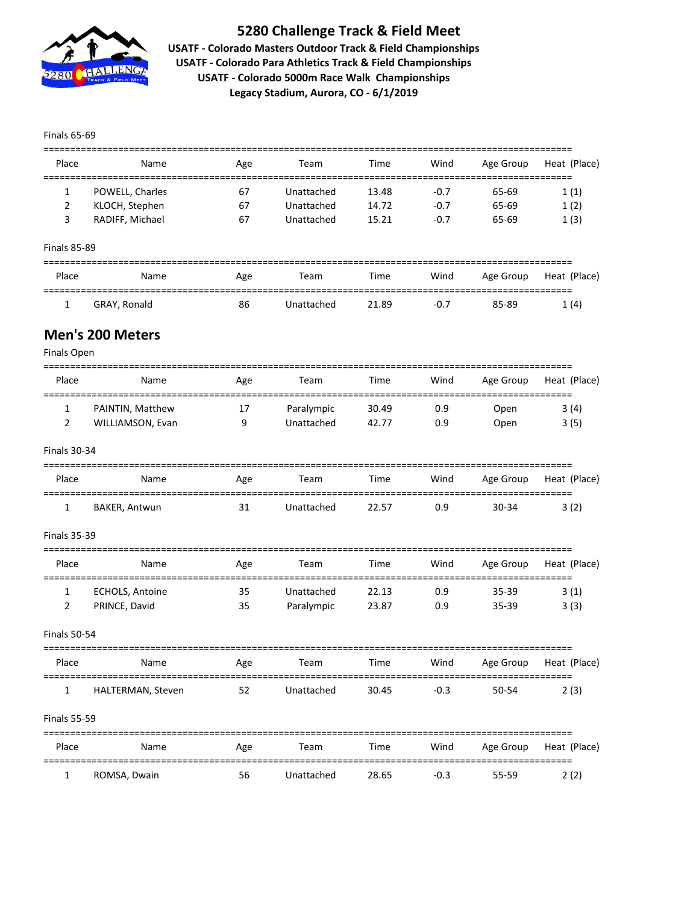

**USATF - Colorado Masters Outdoor Track & Field Championships Legacy Stadium, Aurora, CO - 6/1/2019 USATF - Colorado Para Athletics Track & Field Championships USATF - Colorado 5000m Race Walk Championships**

#### Finals 65-69

| Place               | Name                                | Age | Team       | Time  | Wind   | Age Group                       | ====<br>Heat (Place)       |
|---------------------|-------------------------------------|-----|------------|-------|--------|---------------------------------|----------------------------|
| $\mathbf{1}$        | POWELL, Charles                     | 67  | Unattached | 13.48 | $-0.7$ | 65-69                           | 1(1)                       |
| $\overline{2}$      | KLOCH, Stephen                      | 67  | Unattached | 14.72 | $-0.7$ | 65-69                           | 1(2)                       |
| 3                   | RADIFF, Michael                     | 67  | Unattached | 15.21 | $-0.7$ | 65-69                           | 1(3)                       |
| <b>Finals 85-89</b> |                                     |     |            |       |        |                                 | $=$ $=$ $=$ $=$            |
| Place               | Name                                | Age | Team       | Time  | Wind   | Age Group                       | Heat (Place)               |
| 1                   | GRAY, Ronald                        | 86  | Unattached | 21.89 | $-0.7$ | 85-89                           | 1(4)                       |
|                     | <b>Men's 200 Meters</b>             |     |            |       |        |                                 |                            |
| <b>Finals Open</b>  |                                     |     |            |       |        |                                 |                            |
| Place               | Name                                | Age | Team       | Time  | Wind   | Age Group                       | Heat (Place)               |
| $\mathbf{1}$        | PAINTIN, Matthew                    | 17  | Paralympic | 30.49 | 0.9    | Open                            | $====$<br>3(4)             |
| $\overline{2}$      | WILLIAMSON, Evan                    | 9   | Unattached | 42.77 | 0.9    | Open                            | 3(5)                       |
| <b>Finals 30-34</b> |                                     |     |            |       |        |                                 |                            |
| =========<br>Place  | Name                                | Age | Team       | Time  | Wind   | ==================<br>Age Group | Heat (Place)               |
| $\mathbf{1}$        | BAKER, Antwun                       | 31  | Unattached | 22.57 | 0.9    | 30-34                           | 3(2)                       |
| <b>Finals 35-39</b> |                                     |     |            |       |        |                                 |                            |
| ==========<br>Place | Name                                | Age | Team       | Time  | Wind   | Age Group                       | ----------<br>Heat (Place) |
| 1                   | <b>ECHOLS, Antoine</b>              | 35  | Unattached | 22.13 | 0.9    | 35-39                           | 3(1)                       |
| $\overline{2}$      | PRINCE, David                       | 35  | Paralympic | 23.87 | 0.9    | 35-39                           | 3(3)                       |
| <b>Finals 50-54</b> | .============================       |     |            |       |        |                                 |                            |
| Place               | Name                                | Age | Team       | Time  | Wind   | Age Group                       | Heat (Place)               |
| $\mathbf{1}$        | HALTERMAN, Steven                   | 52  | Unattached | 30.45 | $-0.3$ | 50-54                           | 2(3)                       |
| <b>Finals 55-59</b> |                                     |     |            |       |        |                                 |                            |
| Place               | ===========================<br>Name | Age | Team       | Time  | Wind   | Age Group                       | Heat (Place)               |
| $\mathbf{1}$        | ROMSA, Dwain                        | 56  | Unattached | 28.65 | $-0.3$ | 55-59                           | 2(2)                       |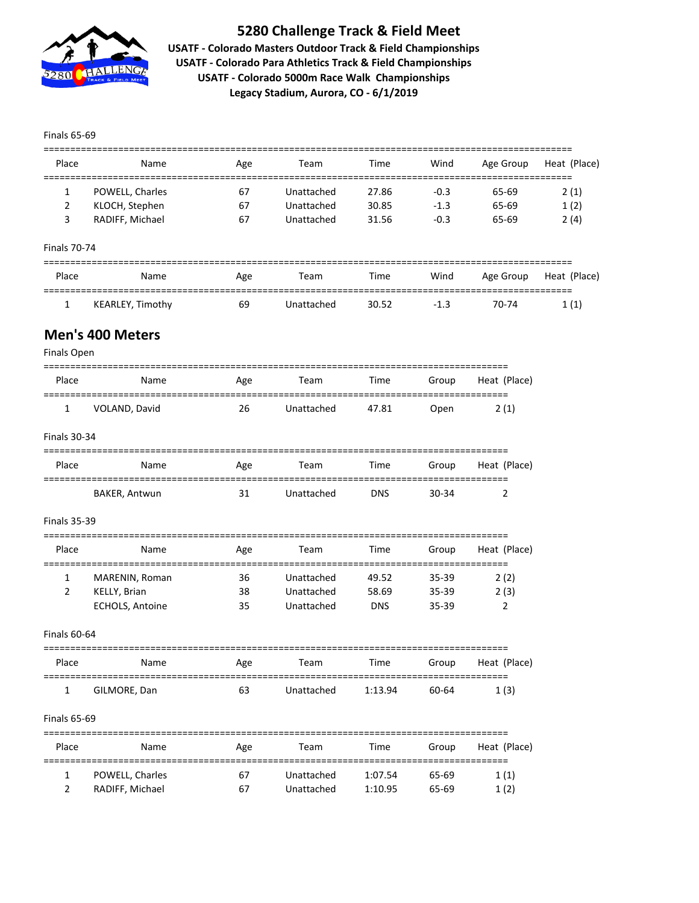

**USATF - Colorado Masters Outdoor Track & Field Championships Legacy Stadium, Aurora, CO - 6/1/2019 USATF - Colorado Para Athletics Track & Field Championships USATF - Colorado 5000m Race Walk Championships**

#### Finals 65-69

| Place               | Name                            | Age | Team                                 | Time                                   | Wind                                 | ===============<br>Age Group | Heat (Place) |
|---------------------|---------------------------------|-----|--------------------------------------|----------------------------------------|--------------------------------------|------------------------------|--------------|
| 1                   | POWELL, Charles                 | 67  | Unattached                           | 27.86                                  | $-0.3$                               | 65-69                        | $==$<br>2(1) |
| $\overline{2}$      | KLOCH, Stephen                  | 67  | Unattached                           | 30.85                                  | $-1.3$                               | 65-69                        | 1(2)         |
| 3                   | RADIFF, Michael                 | 67  | Unattached                           | 31.56                                  | $-0.3$                               | 65-69                        | 2(4)         |
| <b>Finals 70-74</b> |                                 |     |                                      |                                        |                                      |                              |              |
| Place<br>======     | Name                            | Age | Team                                 | Time                                   | Wind                                 | Age Group<br>==============  | Heat (Place) |
| 1                   | KEARLEY, Timothy                | 69  | Unattached                           | 30.52                                  | $-1.3$                               | 70-74                        | 1(1)         |
| Finals Open         | <b>Men's 400 Meters</b>         |     |                                      |                                        |                                      |                              |              |
| Place               | Name                            | Age | Team                                 | Time                                   | Group                                | ==========<br>Heat (Place)   |              |
| $\mathbf{1}$        | VOLAND, David                   | 26  | Unattached                           | 47.81                                  | Open                                 | $==$<br>2(1)                 |              |
| <b>Finals 30-34</b> |                                 |     |                                      |                                        |                                      |                              |              |
| Place               | Name                            | Age | Team                                 | Time                                   | Group                                | Heat (Place)                 |              |
|                     | ============<br>BAKER, Antwun   | 31  | ----------------------<br>Unattached | <b>DNS</b>                             | ===========================<br>30-34 | 2                            |              |
| <b>Finals 35-39</b> |                                 |     |                                      |                                        |                                      |                              |              |
| =======<br>Place    | Name                            | Age | Team                                 | Time                                   | =================<br>Group           | Heat (Place)                 |              |
| 1                   | MARENIN, Roman                  | 36  | Unattached                           | 49.52                                  | 35-39                                | ============<br>2(2)         |              |
| $\overline{2}$      | KELLY, Brian                    | 38  | Unattached                           | 58.69                                  | 35-39                                | 2(3)                         |              |
|                     | <b>ECHOLS, Antoine</b>          | 35  | Unattached                           | <b>DNS</b>                             | 35-39                                | 2                            |              |
| <b>Finals 60-64</b> | =============================== |     |                                      |                                        |                                      |                              |              |
| Place               | Name                            | Age | Team                                 | Time                                   | Group                                | Heat (Place)                 |              |
| $\mathbf{1}$        | GILMORE, Dan                    | 63  | Unattached                           | 1:13.94                                | 60-64                                | 1(3)                         |              |
| <b>Finals 65-69</b> |                                 |     |                                      |                                        |                                      |                              |              |
| ========<br>Place   | Name                            | Age | Team                                 | ==============================<br>Time | Group                                | Heat (Place)                 |              |
| $\mathbf{1}$        | POWELL, Charles                 | 67  | Unattached                           | 1:07.54                                | 65-69                                | 1(1)                         |              |
| $\overline{2}$      | RADIFF, Michael                 | 67  | Unattached                           | 1:10.95                                | 65-69                                | 1(2)                         |              |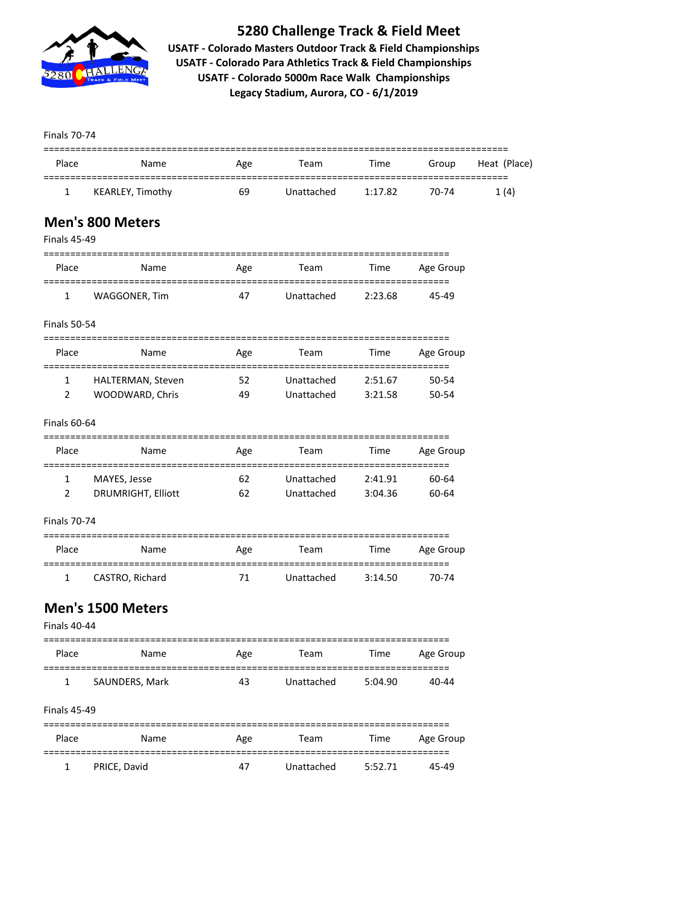

| <b>Finals 70-74</b>  |                                         |                   |                                     |                    |                               |              |
|----------------------|-----------------------------------------|-------------------|-------------------------------------|--------------------|-------------------------------|--------------|
| Place                | Name                                    | Age               | Team                                | Time               | Group                         | Heat (Place) |
| 1                    | <b>KEARLEY, Timothy</b>                 | 69                | Unattached                          | 1:17.82            | 70-74                         | 1(4)         |
| <b>Finals 45-49</b>  | <b>Men's 800 Meters</b>                 |                   |                                     |                    |                               |              |
| Place                | Name                                    | Age               | Team                                | Time               | Age Group                     |              |
| 1                    | ----------------------<br>WAGGONER, Tim | 47                | Unattached                          | 2:23.68            | 45-49                         |              |
| <b>Finals 50-54</b>  |                                         |                   |                                     |                    |                               |              |
| Place                | Name                                    | Age               | Team                                | Time               | Age Group                     |              |
| 1<br>2               | HALTERMAN, Steven<br>WOODWARD, Chris    | 52<br>49          | Unattached<br>Unattached            | 2:51.67<br>3:21.58 | 50-54<br>50-54                |              |
| <b>Finals 60-64</b>  |                                         |                   |                                     |                    |                               |              |
| Place                | Name                                    | Age               | Team                                | Time               | Age Group                     |              |
| 1<br>2               | MAYES, Jesse<br>DRUMRIGHT, Elliott      | 62<br>62          | Unattached<br>Unattached            | 2:41.91<br>3:04.36 | 60-64<br>60-64                |              |
| <b>Finals 70-74</b>  |                                         |                   |                                     |                    |                               |              |
| Place                | Name                                    | Age               | Team                                | Time               | Age Group                     |              |
| 1                    | =======<br>CASTRO, Richard              | =======<br>71     | Unattached                          | 3:14.50            | ============<br>70-74         |              |
| <b>Finals 40-44</b>  | Men's 1500 Meters                       |                   |                                     |                    |                               |              |
| ===========<br>Place | ==============<br>Name                  | Age               | ===========================<br>Team | Time               | ===============<br>Age Group  |              |
| 1                    | SAUNDERS, Mark                          | 43                | Unattached                          | 5:04.90            | 40-44                         |              |
| <b>Finals 45-49</b>  |                                         |                   |                                     |                    |                               |              |
| Place                | ==========================<br>Name      | ==========<br>Age | Team                                | Time               | ================<br>Age Group |              |
| 1                    | ======================<br>PRICE, David  | 47                | Unattached                          | 5:52.71            | 45-49                         |              |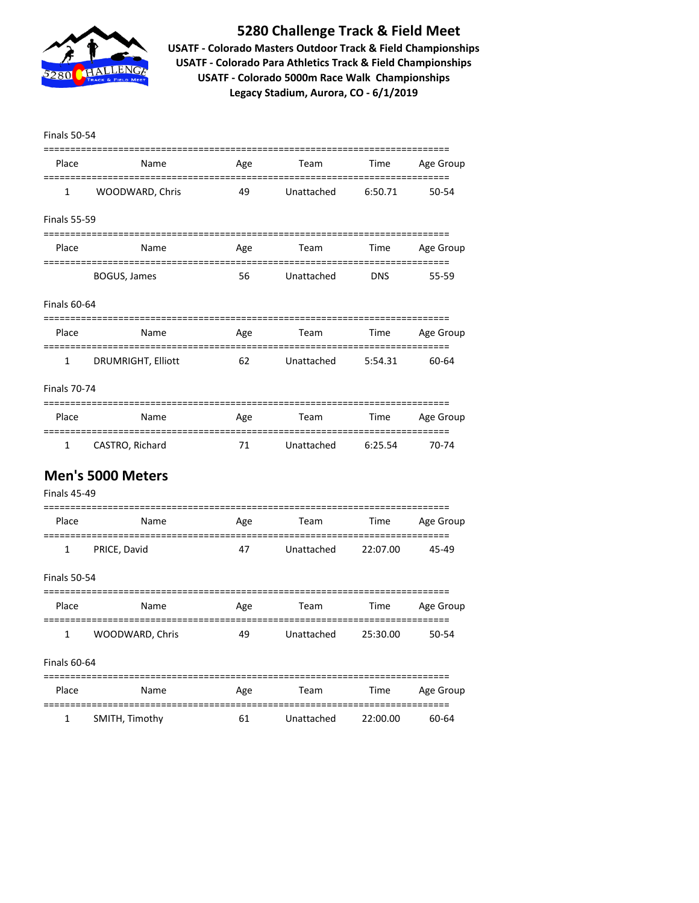

| <b>Finals 50-54</b> |                                    |     |                          |                                  |           |
|---------------------|------------------------------------|-----|--------------------------|----------------------------------|-----------|
| Place               | Name                               | Age | Team                     | Time                             | Age Group |
| 1                   | WOODWARD, Chris                    | 49  | Unattached               | 6:50.71                          | 50-54     |
| <b>Finals 55-59</b> |                                    |     |                          |                                  |           |
| Place               | Name                               | Age | Team                     | Time                             | Age Group |
|                     | BOGUS, James                       | 56  | Unattached               | <b>DNS</b>                       | 55-59     |
| <b>Finals 60-64</b> |                                    |     |                          |                                  |           |
| Place               | Name                               | Age | Team                     | Time                             | Age Group |
| 1                   | DRUMRIGHT, Elliott                 | 62  | Unattached               | 5:54.31                          | 60-64     |
| <b>Finals 70-74</b> |                                    |     |                          |                                  |           |
| Place               | :=========================<br>Name | Age | Team                     | Time                             | Age Group |
| 1                   | CASTRO, Richard                    | 71  | Unattached               | 6:25.54                          | 70-74     |
| <b>Finals 45-49</b> | <b>Men's 5000 Meters</b>           |     |                          |                                  |           |
| Place               | Name                               | Age | Team                     | Time                             | Age Group |
| 1                   | PRICE, David                       | 47  | Unattached               | 22:07.00                         | 45-49     |
| <b>Finals 50-54</b> |                                    |     |                          |                                  |           |
| Place               | Name                               | Age | Team                     | Time                             | Age Group |
| 1                   | WOODWARD, Chris                    | 49  | ==========<br>Unattached | ====================<br>25:30.00 | 50-54     |
| <b>Finals 60-64</b> |                                    |     |                          |                                  |           |
| Place               | Name                               | Age | Team                     | Time                             | Age Group |
| 1                   | SMITH, Timothy                     | 61  | Unattached               | 22:00.00                         | 60-64     |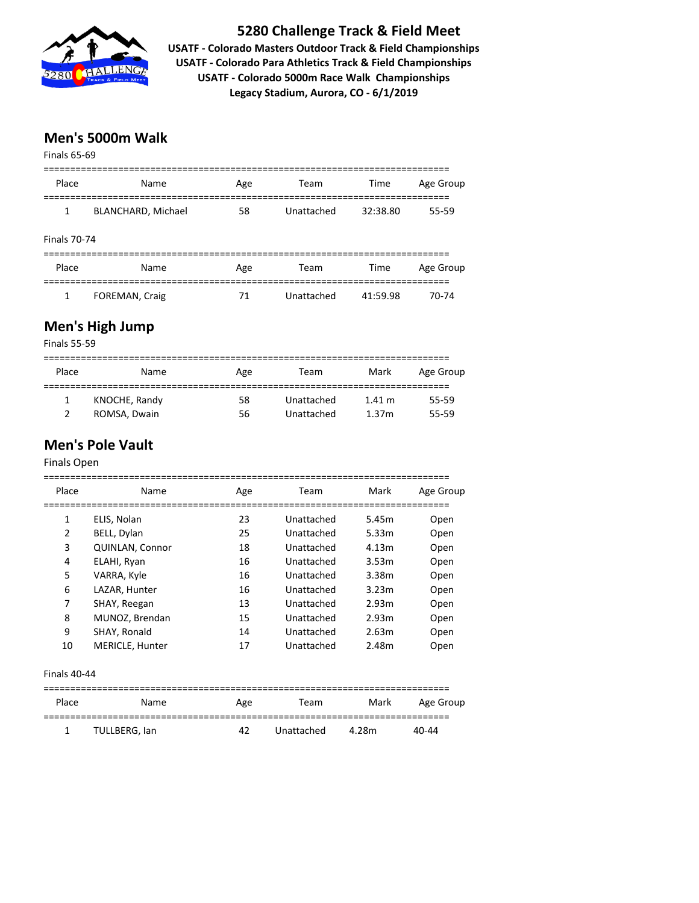

**USATF - Colorado Masters Outdoor Track & Field Championships Legacy Stadium, Aurora, CO - 6/1/2019 USATF - Colorado Para Athletics Track & Field Championships USATF - Colorado 5000m Race Walk Championships**

#### **Men's 5000m Walk**

#### Finals 65-69

| Place               | Name               | Age | Team       | Time     | Age Group |  |  |
|---------------------|--------------------|-----|------------|----------|-----------|--|--|
| 1                   | BLANCHARD, Michael | 58  | Unattached | 32:38.80 | 55-59     |  |  |
| <b>Finals 70-74</b> |                    |     |            |          |           |  |  |

| Place | Name           | Age | Team       | Time     | Age Group |  |  |  |  |
|-------|----------------|-----|------------|----------|-----------|--|--|--|--|
|       | FOREMAN, Craig | 71  | Unattached | 41:59.98 | 70-74     |  |  |  |  |

#### **Men's High Jump**

Finals 55-59

| Place | Name          | Age | Team       | Mark             | Age Group |  |  |  |
|-------|---------------|-----|------------|------------------|-----------|--|--|--|
|       | KNOCHE, Randy | 58  | Unattached | $1.41 \text{ m}$ | 55-59     |  |  |  |
|       | ROMSA, Dwain  | 56  | Unattached | 1.37m            | 55-59     |  |  |  |

#### **Men's Pole Vault**

Finals Open

| Place        | Name                   | Age | Team       |       | Age Group |
|--------------|------------------------|-----|------------|-------|-----------|
| $\mathbf{1}$ | ELIS, Nolan            | 23  | Unattached | 5.45m | Open      |
| 2            | BELL, Dylan            | 25  | Unattached | 5.33m | Open      |
| 3            | QUINLAN, Connor        | 18  | Unattached | 4.13m | Open      |
| 4            | ELAHI, Ryan            | 16  | Unattached | 3.53m | Open      |
| 5            | VARRA, Kyle            | 16  | Unattached | 3.38m | Open      |
| 6            | LAZAR, Hunter          | 16  | Unattached | 3.23m | Open      |
| 7            | SHAY, Reegan           | 13  | Unattached | 2.93m | Open      |
| 8            | MUNOZ, Brendan         | 15  | Unattached | 2.93m | Open      |
| 9            | SHAY, Ronald           | 14  | Unattached | 2.63m | Open      |
| 10           | <b>MERICLE, Hunter</b> | 17  | Unattached | 2.48m | Open      |
|              |                        |     |            |       |           |

Finals 40-44

| Place | Name          | Age | Team       | Mark  | Age Group |
|-------|---------------|-----|------------|-------|-----------|
|       | TULLBERG, Ian | 42  | Unattached | 4.28m | 40-44     |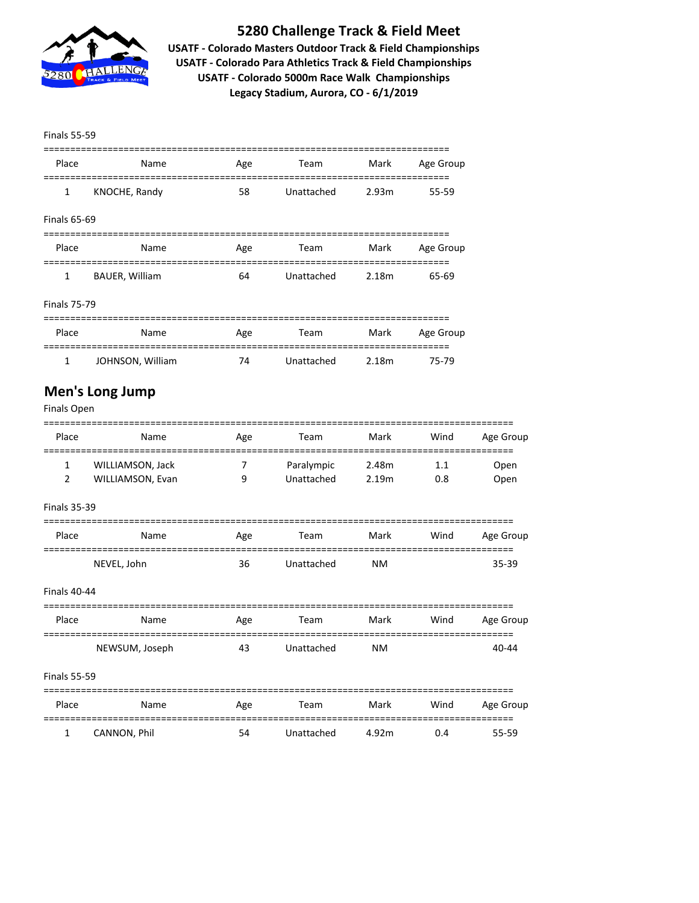

| <b>Finals 55-59</b> |                                       |        |                                                |                   |            |              |
|---------------------|---------------------------------------|--------|------------------------------------------------|-------------------|------------|--------------|
| Place               | Name                                  | Age    | Team                                           | Mark              | Age Group  |              |
| 1                   | KNOCHE, Randy                         | 58     | Unattached                                     | 2.93 <sub>m</sub> | 55-59      |              |
| <b>Finals 65-69</b> |                                       |        |                                                |                   |            |              |
| Place               | Name                                  | Age    | --------------------------------------<br>Team | Mark              | Age Group  |              |
| 1                   | <b>BAUER, William</b>                 | 64     | Unattached                                     | 2.18m             | 65-69      |              |
| <b>Finals 75-79</b> |                                       |        |                                                |                   |            |              |
| Place               | Name                                  | Age    | Team                                           | Mark              | Age Group  |              |
| 1                   | JOHNSON, William                      | 74     | Unattached                                     | 2.18m             | 75-79      |              |
| <b>Finals Open</b>  | Men's Long Jump                       |        |                                                |                   |            |              |
| Place               | Name                                  | Age    | Team                                           | Mark              | Wind       | Age Group    |
| 1<br>2              | WILLIAMSON, Jack<br>WILLIAMSON, Evan  | 7<br>9 | Paralympic<br>Unattached                       | 2.48m<br>2.19m    | 1.1<br>0.8 | Open<br>Open |
| <b>Finals 35-39</b> |                                       |        |                                                |                   |            |              |
| Place               | Name                                  | Age    | Team                                           | Mark              | Wind       | Age Group    |
|                     | NEVEL, John                           | 36     | Unattached                                     | ΝM                |            | 35-39        |
| <b>Finals 40-44</b> |                                       |        |                                                |                   |            |              |
| Place               | Name                                  | Age    | Team                                           | Mark              | Wind       | Age Group    |
|                     | NEWSUM, Joseph                        | 43     | Unattached                                     | NM                |            | 40-44        |
| <b>Finals 55-59</b> |                                       |        |                                                |                   |            |              |
| Place               | =============================<br>Name | Age    | Team                                           | Mark              | Wind       | Age Group    |
| 1                   | CANNON, Phil                          | 54     | Unattached                                     | 4.92m             | 0.4        | 55-59        |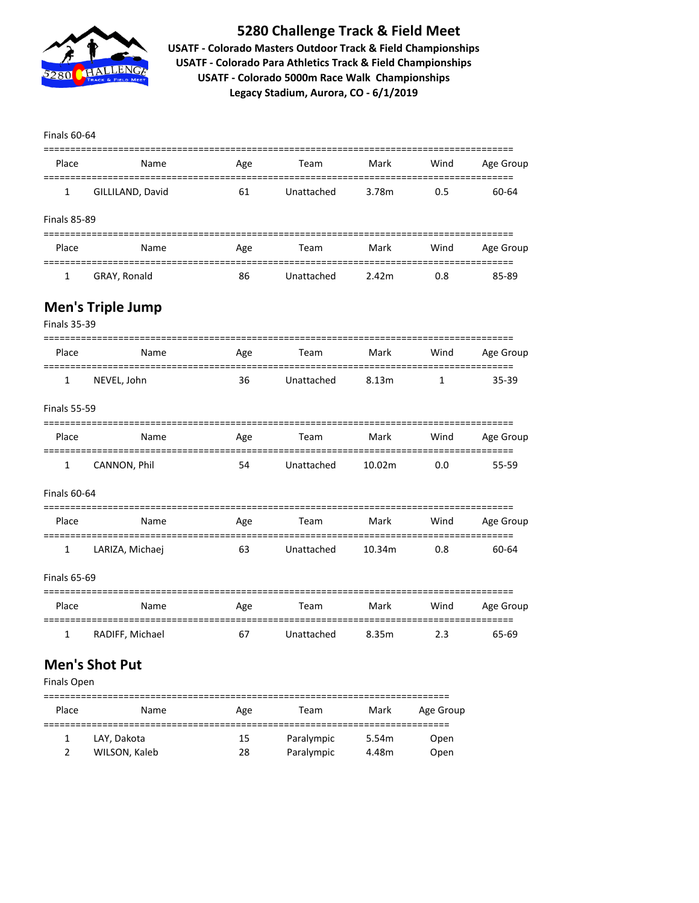

**USATF - Colorado Masters Outdoor Track & Field Championships Legacy Stadium, Aurora, CO - 6/1/2019 USATF - Colorado Para Athletics Track & Field Championships USATF - Colorado 5000m Race Walk Championships**

| <b>Finals 60-64</b>                  |                                                          |                      |                  |                                |                                           |                      |
|--------------------------------------|----------------------------------------------------------|----------------------|------------------|--------------------------------|-------------------------------------------|----------------------|
| Place                                | Name                                                     | Age                  | Team             | Mark                           | Wind                                      | Age Group            |
| 1                                    | ---------------------<br>===========<br>GILLILAND, David | ==============<br>61 | Unattached       | 3.78m                          | ===============================<br>0.5    | 60-64                |
| <b>Finals 85-89</b>                  |                                                          |                      |                  |                                |                                           |                      |
| Place                                | Name                                                     | Age                  | Team             | Mark<br>______________________ | Wind                                      | Age Group            |
| $\mathbf{1}$                         | GRAY, Ronald                                             | 86                   | Unattached       | 2.42m                          | 0.8                                       | ==========<br>85-89  |
| <b>Finals 35-39</b>                  | <b>Men's Triple Jump</b>                                 |                      |                  |                                |                                           |                      |
| Place                                | Name                                                     | Age                  | Team             | Mark                           | Wind                                      | Age Group            |
| 1                                    | NEVEL, John                                              | 36                   | Unattached       | 8.13m                          | $\mathbf{1}$                              | 35-39                |
| <b>Finals 55-59</b>                  |                                                          |                      |                  |                                |                                           |                      |
| Place                                | =====================<br>Name                            | Age                  | Team             | Mark                           | Wind                                      | Age Group            |
| 1                                    | CANNON, Phil                                             | 54                   | Unattached       | 10.02m                         | 0.0                                       | 55-59                |
| <b>Finals 60-64</b><br>------------- |                                                          | --------             |                  |                                |                                           |                      |
| Place                                | Name                                                     | Age                  | Team             | Mark                           | ________________________________<br>Wind  | Age Group            |
| 1                                    | ==============<br>LARIZA, Michaej                        | 63                   | Unattached       | 10.34m                         | 0.8                                       | $=$ $=$ $=$<br>60-64 |
| <b>Finals 65-69</b>                  |                                                          |                      |                  |                                |                                           |                      |
| =============<br>Place               | Name                                                     | =======<br>Age       | --------<br>Team | Mark                           | =================================<br>Wind | Age Group            |
| 1                                    | ==========<br>RADIFF, Michael                            | ========<br>67       | Unattached       | 8.35m                          | ================================<br>2.3   | 65-69                |
| <b>Finals Open</b>                   | <b>Men's Shot Put</b>                                    |                      |                  | ====================           |                                           |                      |
| Place                                | Name                                                     | Age                  | Team             | Mark                           | Age Group                                 |                      |

============================================================================ 1 LAY, Dakota 15 Paralympic 5.54m Open 2 WILSON, Kaleb 28 Paralympic 4.48m Open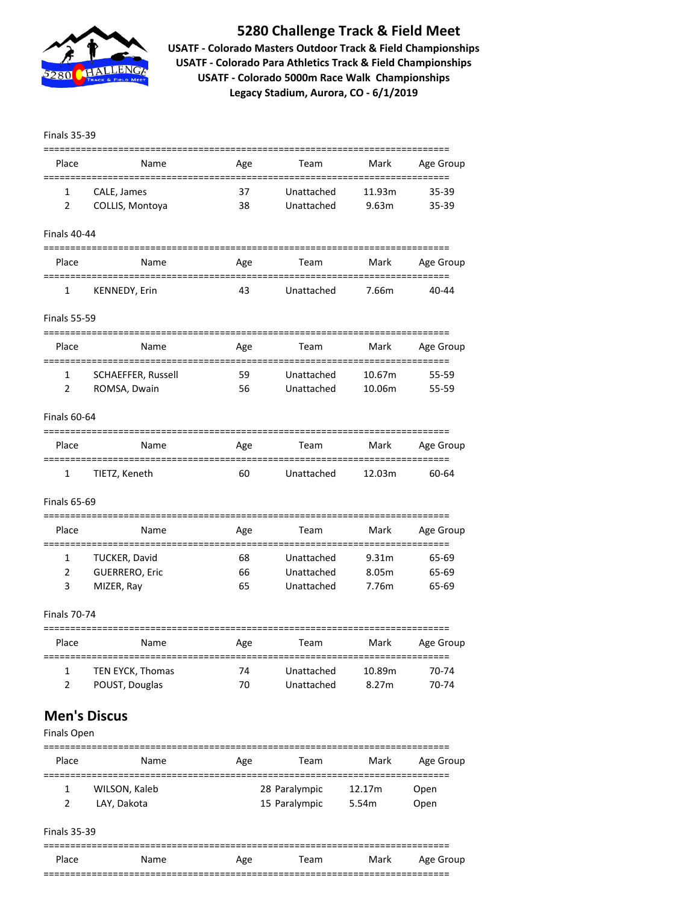

**USATF - Colorado Masters Outdoor Track & Field Championships Legacy Stadium, Aurora, CO - 6/1/2019 USATF - Colorado Para Athletics Track & Field Championships USATF - Colorado 5000m Race Walk Championships**

| <b>Finals 35-39</b> |                                                               |                    |                                                 |                    |                 |
|---------------------|---------------------------------------------------------------|--------------------|-------------------------------------------------|--------------------|-----------------|
| Place               | Name                                                          | Age                | Team                                            | Mark               | Age Group       |
| 1<br>2              | ===========================<br>CALE, James<br>COLLIS, Montoya | 37<br>38           | Unattached<br>Unattached                        | 11.93m<br>9.63m    | 35-39<br>35-39  |
| <b>Finals 40-44</b> |                                                               |                    |                                                 |                    |                 |
| Place               | Name                                                          | Age                | Team                                            | Mark               | Age Group       |
| 1                   | KENNEDY, Erin                                                 | 43                 | Unattached                                      | 7.66m              | $40 - 44$       |
| <b>Finals 55-59</b> |                                                               |                    |                                                 |                    |                 |
| Place               | Name                                                          | Age                | Team                                            | Mark               | Age Group       |
| 1<br>2              | SCHAEFFER, Russell<br>ROMSA, Dwain                            | 59<br>56           | Unattached<br>Unattached                        | 10.67m<br>10.06m   | 55-59<br>55-59  |
| <b>Finals 60-64</b> |                                                               |                    |                                                 |                    |                 |
| Place               | Name                                                          | Age                | Team                                            | Mark               | Age Group       |
| 1                   | ====================================<br>TIETZ, Keneth         | 60                 | =================================<br>Unattached | 12.03m             | 60-64           |
| <b>Finals 65-69</b> |                                                               |                    |                                                 |                    |                 |
| Place               | =========================<br>Name                             | -----------<br>Age | ================================<br>Team        | Mark               | Age Group       |
| 1                   | TUCKER, David                                                 | 68                 | Unattached                                      | =========<br>9.31m | $====$<br>65-69 |
| $\overline{2}$      | <b>GUERRERO, Eric</b>                                         | 66                 | Unattached                                      | 8.05m              | 65-69           |
| 3                   | MIZER, Ray                                                    | 65                 | Unattached                                      | 7.76m              | 65-69           |
| <b>Finals 70-74</b> |                                                               |                    |                                                 |                    |                 |
| Place               | Name                                                          | Age                | Team                                            | Mark               | Age Group       |
| 1                   | TEN EYCK, Thomas                                              | 74                 | Unattached                                      | 10.89m             | 70-74           |
| 2                   | POUST, Douglas                                                | 70                 | Unattached                                      | 8.27m              | 70-74           |
| <b>Finals Open</b>  | <b>Men's Discus</b>                                           |                    |                                                 |                    |                 |
| Place               | Name                                                          | Age                | Team                                            | Mark               | Age Group       |
|                     |                                                               |                    |                                                 |                    |                 |

| WILSON, Kaleb | 28 Paralympic | 12.17m | Open |
|---------------|---------------|--------|------|
| LAY, Dakota   | 15 Paralympic | 5.54m  | Open |
|               |               |        |      |

Finals 35-39

| Place | Name | Age | Team | Mark | Age Group |
|-------|------|-----|------|------|-----------|
|       |      |     |      |      |           |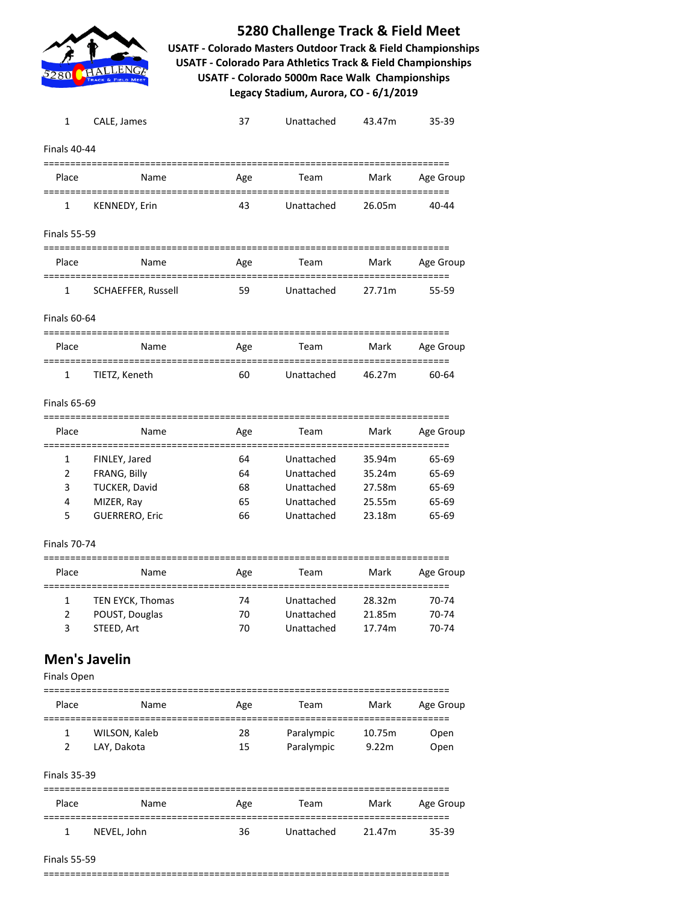

| 1                   | CALE, James                | 37              | Unattached | 43.47m                            | 35-39     |
|---------------------|----------------------------|-----------------|------------|-----------------------------------|-----------|
| Finals 40-44        | ========================== |                 |            |                                   |           |
| Place               | Name                       | Age             | Team       | Mark                              | Age Group |
| 1                   | <b>KENNEDY, Erin</b>       | 43              | Unattached | 26.05m                            | 40-44     |
| <b>Finals 55-59</b> |                            |                 |            |                                   |           |
| Place               | Name                       | Age             | Team       | Mark                              | Age Group |
| 1                   | SCHAEFFER, Russell         | 59              | Unattached | 27.71m                            | 55-59     |
| Finals 60-64        |                            |                 |            |                                   |           |
| Place               | Name                       | Age             | Team       | Mark                              | Age Group |
| 1                   | TIETZ, Keneth              | 60              | Unattached | 46.27m                            | 60-64     |
| <b>Finals 65-69</b> |                            |                 |            |                                   |           |
| Place               | Name                       | Age             | Team       | Mark                              | Age Group |
| 1                   | FINLEY, Jared              | 64              | Unattached | 35.94m                            | 65-69     |
| $\overline{2}$      | FRANG, Billy               | 64              | Unattached | 35.24m                            | 65-69     |
| 3                   | TUCKER, David              | 68              | Unattached | 27.58m                            | 65-69     |
| 4                   | MIZER, Ray                 | 65              | Unattached | 25.55m                            | 65-69     |
| 5                   | <b>GUERRERO, Eric</b>      | 66              | Unattached | 23.18m                            | 65-69     |
| <b>Finals 70-74</b> |                            |                 |            | ==================                |           |
| Place               | Name                       | Age             | Team       | Mark<br>========================= | Age Group |
| 1                   | TEN EYCK, Thomas           | 74              | Unattached | 28.32m                            | 70-74     |
| $\overline{2}$      | POUST, Douglas             | 70              | Unattached | 21.85m                            | 70-74     |
| 3                   | STEED, Art                 | 70              | Unattached | 17.74m                            | 70-74     |
|                     | <b>Men's Javelin</b>       |                 |            |                                   |           |
| <b>Finals Open</b>  | =========================  | =============== |            | =======================           |           |
| Place               | Name                       | Age             | Team       | Mark                              | Age Group |
| 1                   | WILSON, Kaleb              | 28              | Paralympic | 10.75m                            | Open      |
| 2                   | LAY, Dakota                | 15              | Paralympic | 9.22m                             | Open      |
| <b>Finals 35-39</b> |                            |                 |            |                                   |           |
| Place               | Name                       | Age             | Team       | Mark                              | Age Group |
| 1                   | NEVEL, John                | 36              | Unattached | 21.47m                            | 35-39     |
| <b>Finals 55-59</b> |                            |                 |            |                                   |           |
|                     |                            |                 |            |                                   |           |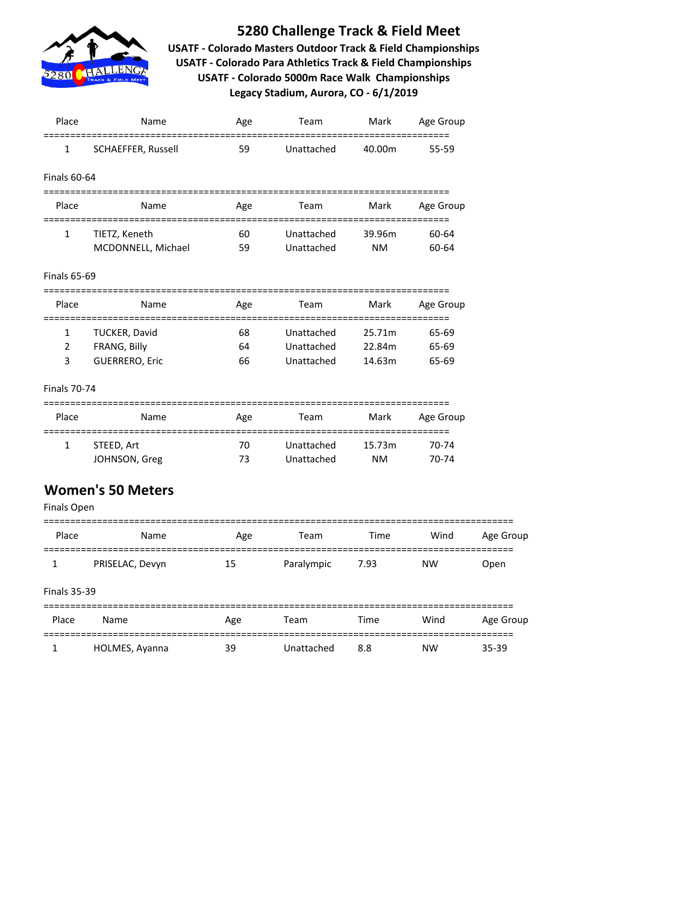

| Place                    | Name                                                   | Age            | Team                                   | Mark                                                   | Age Group                    |                        |
|--------------------------|--------------------------------------------------------|----------------|----------------------------------------|--------------------------------------------------------|------------------------------|------------------------|
| 1                        | SCHAEFFER, Russell                                     | 59             | Unattached                             | 40.00m                                                 | 55-59                        |                        |
| <b>Finals 60-64</b>      |                                                        |                |                                        |                                                        |                              |                        |
| Place                    | Name                                                   | Age            | Team                                   | Mark                                                   | ==========<br>Age Group      |                        |
| 1                        | TIETZ, Keneth<br>MCDONNELL, Michael                    | 60<br>59       | Unattached<br>Unattached               | 39.96m<br><b>NM</b>                                    | 60-64<br>60-64               |                        |
| <b>Finals 65-69</b>      |                                                        |                |                                        |                                                        |                              |                        |
| Place                    | Name                                                   | Age            | Team                                   | Mark                                                   | ---------------<br>Age Group |                        |
| 1<br>$\overline{2}$<br>3 | TUCKER, David<br>FRANG, Billy<br><b>GUERRERO, Eric</b> | 68<br>64<br>66 | Unattached<br>Unattached<br>Unattached | ========================<br>25.71m<br>22.84m<br>14.63m | 65-69<br>65-69<br>65-69      |                        |
| <b>Finals 70-74</b>      |                                                        |                |                                        |                                                        |                              |                        |
| Place                    | Name                                                   | Age            | Team                                   | Mark                                                   | ----------<br>Age Group      |                        |
| 1                        | STEED, Art<br>JOHNSON, Greg                            | 70<br>73       | Unattached<br>Unattached               | 15.73m<br>ΝM                                           | 70-74<br>70-74               |                        |
| Finals Open              | <b>Women's 50 Meters</b>                               |                |                                        |                                                        |                              |                        |
| Place                    | Name                                                   | Age            | Team                                   | Time                                                   | Wind                         | ======<br>Age Group    |
| 1                        | ===============================<br>PRISELAC, Devyn     | 15             | Paralympic                             | 7.93                                                   | <b>NW</b>                    | =============<br>Open  |
| <b>Finals 35-39</b>      |                                                        |                |                                        |                                                        |                              |                        |
| Place                    | Name                                                   | Age            | Team                                   | Time                                                   | Wind                         | =========<br>Age Group |
| 1                        | HOLMES, Ayanna                                         | 39             | Unattached                             | 8.8                                                    | <b>NW</b>                    | 35-39                  |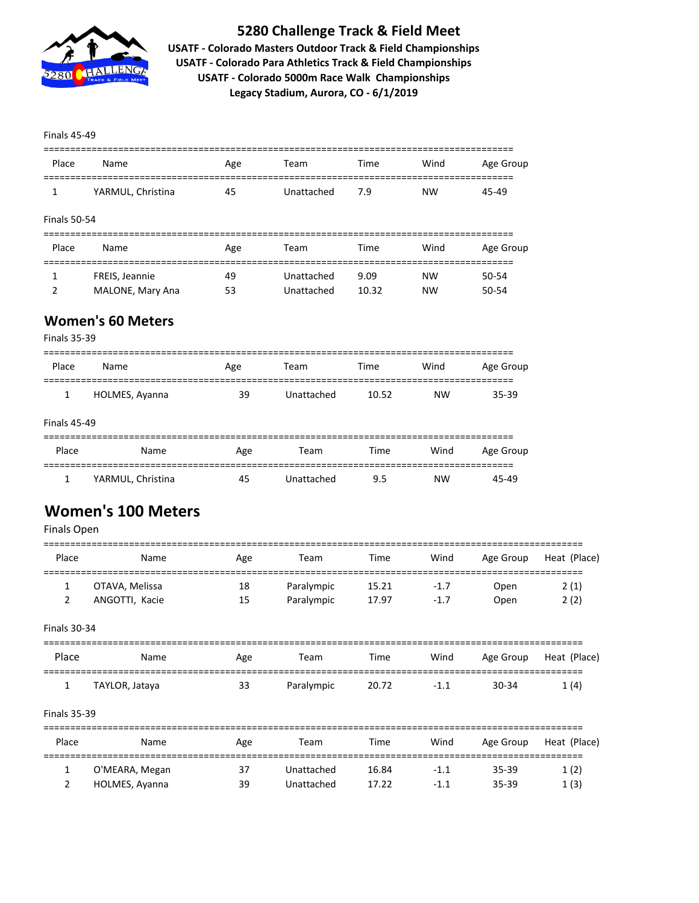

| <b>Finals 45-49</b>            |                                                                       |          |                                                         |                |                  |                                                    |                                   |
|--------------------------------|-----------------------------------------------------------------------|----------|---------------------------------------------------------|----------------|------------------|----------------------------------------------------|-----------------------------------|
| Place                          | Name                                                                  | Age      | Team                                                    | Time           | Wind             | Age Group                                          |                                   |
| 1                              | YARMUL, Christina                                                     | 45       | Unattached                                              | 7.9            | NW               | 45-49                                              |                                   |
| <b>Finals 50-54</b>            |                                                                       |          |                                                         |                |                  |                                                    |                                   |
| Place                          | Name                                                                  | Age      | Team                                                    | Time           | Wind             | Age Group                                          |                                   |
| 1<br>2                         | FREIS, Jeannie<br>MALONE, Mary Ana                                    | 49<br>53 | ---------------------------<br>Unattached<br>Unattached | 9.09<br>10.32  | ΝW<br><b>NW</b>  | ================<br>50-54<br>50-54                 |                                   |
| <b>Finals 35-39</b>            | <b>Women's 60 Meters</b>                                              |          |                                                         |                |                  |                                                    |                                   |
| Place                          | Name                                                                  | Age      | Team                                                    | Time           | Wind             | ==========<br>Age Group                            |                                   |
| 1                              | HOLMES, Ayanna                                                        | 39       | Unattached                                              | 10.52          | <b>NW</b>        | ===============<br>35-39                           |                                   |
| <b>Finals 45-49</b><br>------- |                                                                       |          |                                                         |                |                  |                                                    |                                   |
| Place                          | Name                                                                  | Age      | Team                                                    | Time           | Wind             | Age Group<br>===========                           |                                   |
| 1                              | YARMUL, Christina                                                     | 45       | Unattached                                              | 9.5            | <b>NW</b>        | 45-49                                              |                                   |
| <b>Finals Open</b>             | <b>Women's 100 Meters</b>                                             |          |                                                         |                |                  |                                                    |                                   |
| Place                          | =================<br>Name                                             | Age      | ------------------<br>Team                              | Time           | Wind             | -----------------<br>Age Group                     | ============<br>Heat (Place)      |
| 1<br>2                         | =================================<br>OTAVA, Melissa<br>ANGOTTI, Kacie | 18<br>15 | Paralympic<br>Paralympic                                | 15.21<br>17.97 | $-1.7$<br>$-1.7$ | Open<br>Open                                       | 2(1)<br>2(2)                      |
| <b>Finals 30-34</b>            |                                                                       |          |                                                         |                |                  |                                                    |                                   |
| Place                          | Name                                                                  | Age      | Team                                                    | Time           | Wind             | Age Group                                          | =================<br>Heat (Place) |
| 1                              | TAYLOR, Jataya                                                        | 33       | Paralympic                                              | 20.72          | $-1.1$           | 30-34                                              | ====<br>1(4)                      |
| <b>Finals 35-39</b>            |                                                                       |          |                                                         |                |                  |                                                    |                                   |
| Place                          | Name                                                                  | Age      | Team                                                    | Time           | Wind             | Age Group                                          | Heat (Place)                      |
| 1<br>$\overline{2}$            | O'MEARA, Megan<br>HOLMES, Ayanna                                      | 37<br>39 | Unattached<br>Unattached                                | 16.84<br>17.22 | $-1.1$<br>$-1.1$ | ================================<br>35-39<br>35-39 | 1(2)<br>1(3)                      |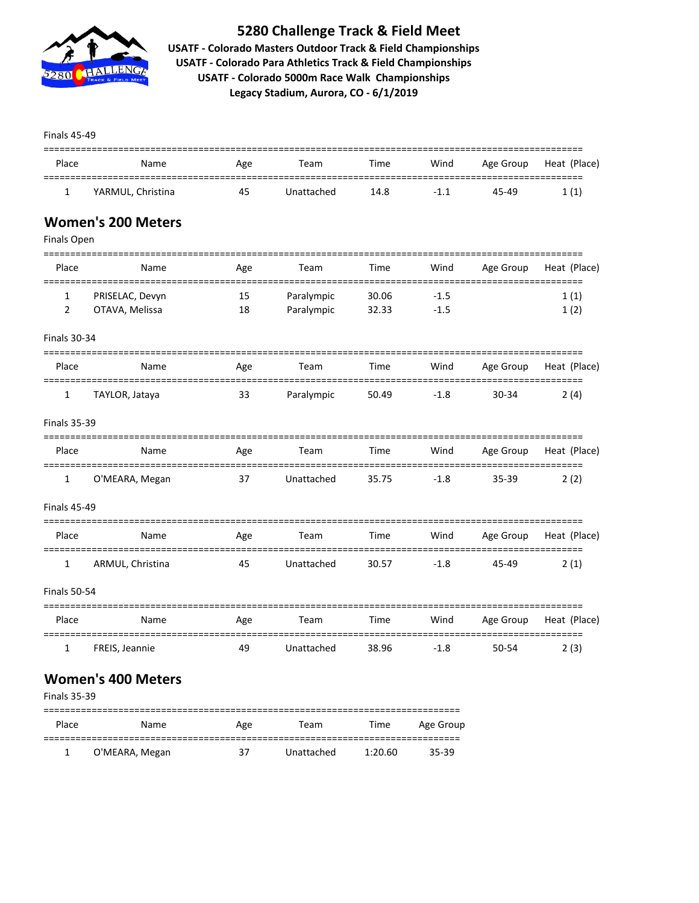

| <b>Finals 45-49</b> |                                              |          |                          |                |                  |                                     |                                   |
|---------------------|----------------------------------------------|----------|--------------------------|----------------|------------------|-------------------------------------|-----------------------------------|
| Place               | Name                                         | Age      | Team                     | Time           | Wind             | Age Group                           | Heat (Place)                      |
| =========<br>1      | YARMUL, Christina                            | 45       | Unattached               | 14.8           | $-1.1$           | ==========================<br>45-49 | 1(1)                              |
| Finals Open         | <b>Women's 200 Meters</b>                    |          |                          |                |                  |                                     |                                   |
| Place               | Name                                         | Age      | Team                     | Time           | Wind             | Age Group                           | Heat (Place)                      |
| 1<br>$\overline{2}$ | =======<br>PRISELAC, Devyn<br>OTAVA, Melissa | 15<br>18 | Paralympic<br>Paralympic | 30.06<br>32.33 | $-1.5$<br>$-1.5$ |                                     | ================<br>1(1)<br>1(2)  |
| <b>Finals 30-34</b> |                                              |          |                          |                |                  |                                     |                                   |
| Place               | Name                                         | Age      | Team                     | Time           | Wind             | Age Group                           | Heat (Place)                      |
| $\mathbf{1}$        | TAYLOR, Jataya                               | 33       | Paralympic               | 50.49          | $-1.8$           | 30-34                               | 2(4)                              |
| <b>Finals 35-39</b> |                                              |          |                          |                |                  |                                     |                                   |
| Place               | Name<br>=======                              | Age      | Team                     | Time           | Wind             | ====================<br>Age Group   | Heat (Place)<br>================= |
| 1                   | O'MEARA, Megan                               | 37       | Unattached               | 35.75          | $-1.8$           | 35-39                               | 2(2)                              |
| <b>Finals 45-49</b> |                                              |          |                          |                |                  |                                     |                                   |
| Place               | =============================<br>Name        | Age      | Team                     | Time           | Wind             | Age Group                           | Heat (Place)                      |
| 1                   | ARMUL, Christina                             | 45       | Unattached               | 30.57          | $-1.8$           | 45-49                               | ================<br>2(1)          |
| <b>Finals 50-54</b> |                                              |          |                          |                |                  |                                     |                                   |
| Place               | Name                                         | Age      | Team                     | Time           | Wind             | Age Group                           | Heat (Place)                      |
| 1                   | FREIS, Jeannie                               | 49       | Unattached               | 38.96          | $-1.8$           | 50-54                               | 2(3)                              |
| <b>Finals 35-39</b> | <b>Women's 400 Meters</b>                    |          |                          |                |                  |                                     |                                   |
| Place               | Name                                         | Age      | Team                     | Time           | Age Group        |                                     |                                   |
| 1                   | O'MEARA, Megan                               | 37       | Unattached               | 1:20.60        | 35-39            |                                     |                                   |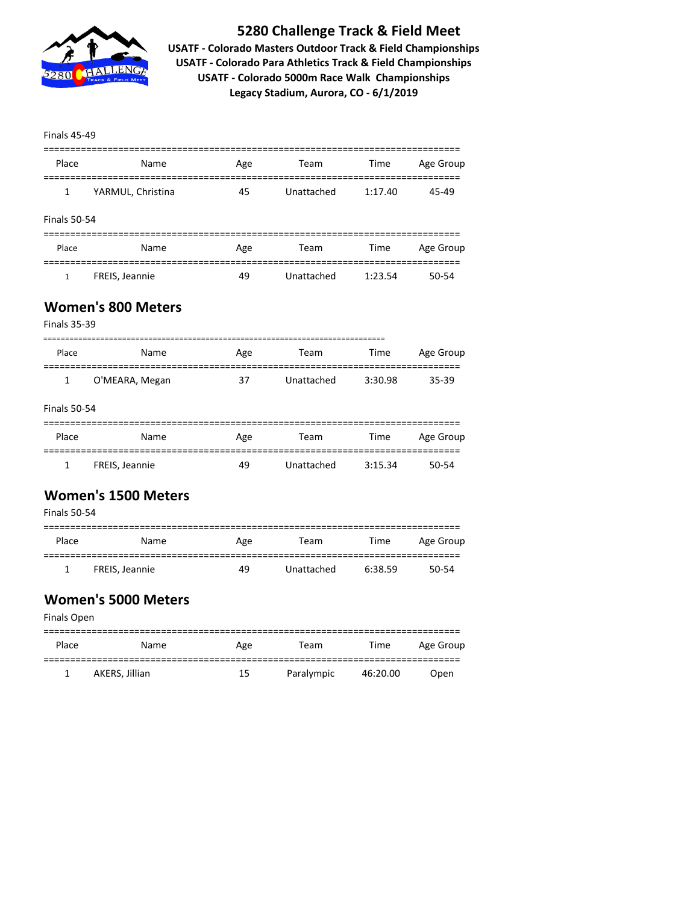

**USATF - Colorado Masters Outdoor Track & Field Championships Legacy Stadium, Aurora, CO - 6/1/2019 USATF - Colorado Para Athletics Track & Field Championships USATF - Colorado 5000m Race Walk Championships**

| <b>Finals 45-49</b> |                                                     |     |                  |         |           |
|---------------------|-----------------------------------------------------|-----|------------------|---------|-----------|
| Place               | Name                                                | Age | Team             | Time    | Age Group |
| 1                   | ------------------------------<br>YARMUL, Christina | 45  | Unattached       | 1:17.40 | 45-49     |
| <b>Finals 50-54</b> |                                                     |     |                  |         |           |
| Place               | Name                                                | Age | Team             | Time    | Age Group |
| $\mathbf{1}$        | FREIS, Jeannie                                      | 49  | Unattached       | 1:23.54 | 50-54     |
| <b>Finals 35-39</b> | <b>Women's 800 Meters</b>                           |     | ---------------- |         |           |
| Place               | Name                                                | Age | Team             | Time    | Age Group |
| 1                   | O'MEARA, Megan                                      | 37  | Unattached       | 3:30.98 | 35-39     |
| <b>Finals 50-54</b> | ====================                                |     |                  |         |           |
| Place               | Name                                                | Age | Team             | Time    | Age Group |
| $\mathbf{1}$        | FREIS, Jeannie                                      | 49  | Unattached       | 3:15.34 | 50-54     |
| <b>Finals 50-54</b> | <b>Women's 1500 Meters</b>                          |     |                  |         |           |
| Place               | Name                                                | Age | Team             | Time    | Age Group |
| $\mathbf{1}$        | FREIS, Jeannie                                      | 49  | Unattached       | 6:38.59 | 50-54     |

#### **Women's 5000 Meters**

| Finals Open |                |     |            |          |           |  |  |
|-------------|----------------|-----|------------|----------|-----------|--|--|
| Place       | Name           | Age | Team       | Time     | Age Group |  |  |
| 1           | AKERS, Jillian | 15  | Paralympic | 46:20.00 | Open      |  |  |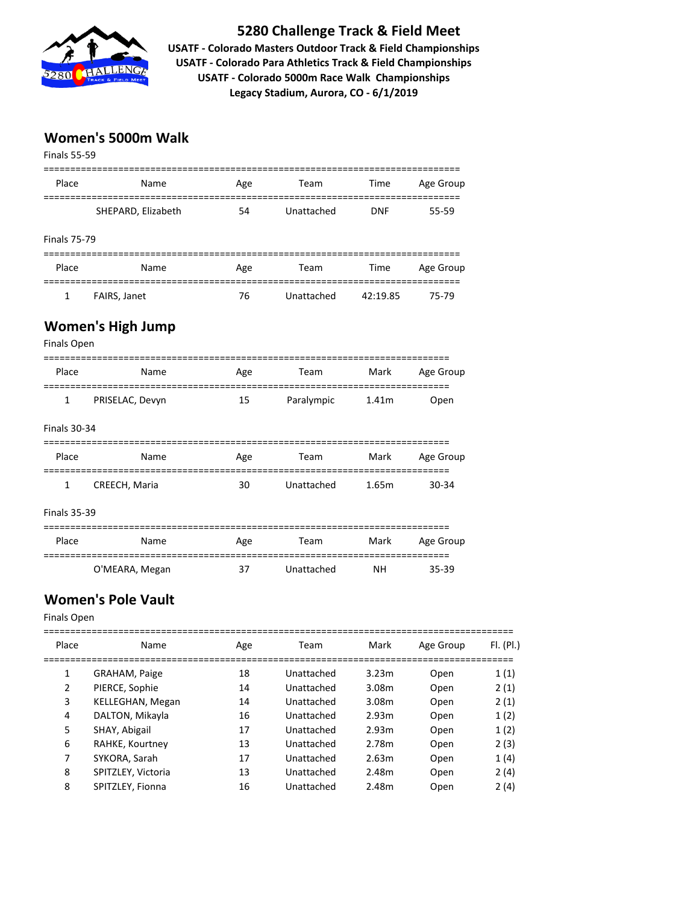

**USATF - Colorado Masters Outdoor Track & Field Championships Legacy Stadium, Aurora, CO - 6/1/2019 USATF - Colorado Para Athletics Track & Field Championships USATF - Colorado 5000m Race Walk Championships**

#### **Women's 5000m Walk**

#### Finals 55-59

| Place               | Name                                         | Age                  | Team                      | Time                              | Age Group                                    |  |
|---------------------|----------------------------------------------|----------------------|---------------------------|-----------------------------------|----------------------------------------------|--|
|                     | SHEPARD, Elizabeth                           | 54                   | Unattached                | <b>DNF</b>                        | 55-59                                        |  |
| <b>Finals 75-79</b> |                                              |                      |                           |                                   |                                              |  |
| Place               | Name                                         | Age                  | Team                      | Time                              | Age Group                                    |  |
| $\mathbf{1}$        | FAIRS, Janet                                 | 76                   | Unattached                | 42:19.85                          | 75-79                                        |  |
| <b>Finals Open</b>  | <b>Women's High Jump</b>                     |                      |                           |                                   |                                              |  |
| Place               | Name<br>=============================        | Age<br>============= | Team                      | Mark                              | Age Group<br>=============================== |  |
| $\mathbf{1}$        | PRISELAC, Devyn                              | 15                   | Paralympic                | 1.41m                             | Open                                         |  |
| <b>Finals 30-34</b> |                                              |                      |                           |                                   |                                              |  |
| Place               | Name                                         | Age                  | Team                      | Mark                              | Age Group                                    |  |
| $\mathbf{1}$        | ===========================<br>CREECH, Maria | 30                   | ===========<br>Unattached | ========================<br>1.65m | 30-34                                        |  |
| <b>Finals 35-39</b> |                                              |                      |                           |                                   |                                              |  |
| Place               | Name                                         | Age                  | Team                      | Mark                              | Age Group                                    |  |
|                     | O'MEARA, Megan                               | 37                   | Unattached                | <b>NH</b>                         | 35-39                                        |  |

#### **Women's Pole Vault**

Finals Open

| Place | Name                 | Age | Team       | Mark  | Age Group | FI. (PI.) |
|-------|----------------------|-----|------------|-------|-----------|-----------|
| 1     | <b>GRAHAM, Paige</b> | 18  | Unattached | 3.23m | Open      | 1(1)      |
| 2     | PIERCE, Sophie       | 14  | Unattached | 3.08m | Open      | 2(1)      |
| 3     | KELLEGHAN, Megan     | 14  | Unattached | 3.08m | Open      | 2(1)      |
| 4     | DALTON, Mikayla      | 16  | Unattached | 2.93m | Open      | 1(2)      |
| 5     | SHAY, Abigail        | 17  | Unattached | 2.93m | Open      | 1(2)      |
| 6     | RAHKE, Kourtney      | 13  | Unattached | 2.78m | Open      | 2(3)      |
| 7     | SYKORA, Sarah        | 17  | Unattached | 2.63m | Open      | 1(4)      |
| 8     | SPITZLEY, Victoria   | 13  | Unattached | 2.48m | Open      | 2(4)      |
| 8     | SPITZLEY, Fionna     | 16  | Unattached | 2.48m | Open      | 2(4)      |
|       |                      |     |            |       |           |           |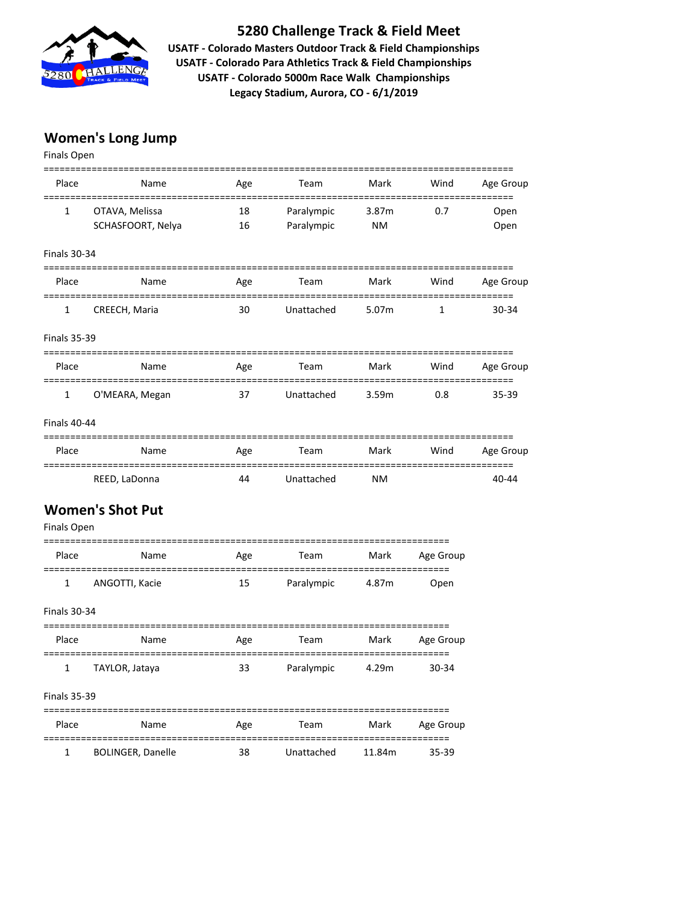

**USATF - Colorado Masters Outdoor Track & Field Championships Legacy Stadium, Aurora, CO - 6/1/2019 USATF - Colorado Para Athletics Track & Field Championships USATF - Colorado 5000m Race Walk Championships**

## **Women's Long Jump**

| Finals Open |  |
|-------------|--|
|-------------|--|

| Filidis Open<br>=========== |                                                                     |                             | -----------------        |                                  |                                      |                          |
|-----------------------------|---------------------------------------------------------------------|-----------------------------|--------------------------|----------------------------------|--------------------------------------|--------------------------|
| Place                       | Name                                                                | Age                         | Team                     | Mark                             | ============================<br>Wind | Age Group                |
| 1                           | :===========================<br>OTAVA, Melissa<br>SCHASFOORT, Nelya | 18<br>16                    | Paralympic<br>Paralympic | 3.87m<br><b>NM</b>               | 0.7                                  | Open<br>Open             |
| <b>Finals 30-34</b>         |                                                                     |                             |                          |                                  |                                      |                          |
| Place                       | Name                                                                | Age                         | Team                     | Mark                             | Wind                                 | Age Group                |
| 1                           | CREECH, Maria                                                       | 30                          | Unattached               | 5.07m                            | 1                                    | $====$<br>30-34          |
| <b>Finals 35-39</b>         |                                                                     |                             |                          |                                  |                                      |                          |
| Place                       | ====================<br>Name                                        | ======<br>Age               | ----------<br>Team       | Mark                             | ============================<br>Wind | Age Group                |
| 1                           | ================================<br>O'MEARA, Megan                  | =====================<br>37 | Unattached               | =======================<br>3.59m | 0.8                                  | ===============<br>35-39 |
| <b>Finals 40-44</b>         |                                                                     |                             |                          |                                  |                                      |                          |
| Place                       | Name                                                                | Age                         | Team                     | Mark                             | Wind                                 | Age Group                |
|                             | REED, LaDonna                                                       | 44                          | Unattached               | ΝM                               |                                      | 40-44                    |
| <b>Finals Open</b>          | <b>Women's Shot Put</b>                                             |                             |                          |                                  |                                      |                          |
| Place                       | Name                                                                | Age                         | Team                     | Mark                             | Age Group                            |                          |
| $\mathbf{1}$                | ANGOTTI, Kacie                                                      | 15                          | ---------<br>Paralympic  | 4.87m                            | ====<br>--------<br>Open             |                          |
| <b>Finals 30-34</b>         |                                                                     |                             |                          |                                  |                                      |                          |
| Place                       | ===============================<br>Name                             | Age                         | Team                     | Mark                             | Age Group                            |                          |
| 1                           | TAYLOR, Jataya                                                      | 33                          | Paralympic               | 4.29m                            | 30-34                                |                          |
| <b>Finals 35-39</b>         |                                                                     |                             |                          |                                  |                                      |                          |
| Place                       | Name                                                                | Age                         | Team                     | Mark                             | Age Group                            |                          |
| 1                           | <b>BOLINGER, Danelle</b>                                            | 38                          | Unattached               | 11.84m                           | 35-39                                |                          |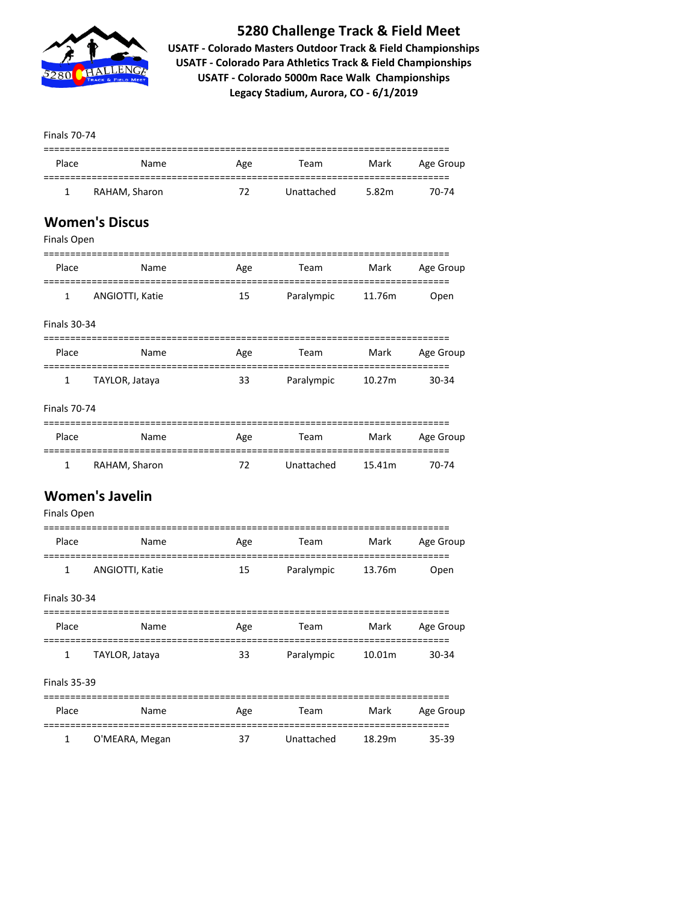

| <b>Finals 70-74</b> |                                                |                       |            |        |               |
|---------------------|------------------------------------------------|-----------------------|------------|--------|---------------|
| Place               | Name                                           | Age                   | Team       | Mark   | Age Group     |
| 1                   | RAHAM, Sharon                                  | 72                    | Unattached | 5.82m  | 70-74         |
| <b>Finals Open</b>  | <b>Women's Discus</b>                          |                       |            |        |               |
| Place               | Name                                           | Age                   | Team       | Mark   | Age Group     |
| 1                   | ANGIOTTI, Katie                                | 15                    | Paralympic | 11.76m | Open          |
| <b>Finals 30-34</b> |                                                |                       |            |        |               |
| Place               | =====================<br>Name                  | Age                   | Team       | Mark   | Age Group     |
| 1                   | ----------------------------<br>TAYLOR, Jataya | ---------------<br>33 | Paralympic | 10.27m | 30-34         |
| <b>Finals 70-74</b> |                                                |                       |            |        |               |
| Place               | Name                                           | Age                   | Team       | Mark   | Age Group     |
| 1                   | RAHAM, Sharon                                  | 72                    | Unattached | 15.41m | 70-74         |
| <b>Finals Open</b>  | <b>Women's Javelin</b>                         |                       |            |        |               |
| Place               | Name                                           | Age                   | Team       | Mark   | Age Group     |
| 1                   | ANGIOTTI, Katie                                | 15                    | Paralympic | 13.76m | Open          |
| <b>Finals 30-34</b> |                                                |                       |            |        |               |
| Place               | Name                                           | Age                   | Team       | Mark   | Age Group     |
| 1                   | TAYLOR, Jataya                                 | 33                    | Paralympic | 10.01m | 30-34         |
| <b>Finals 35-39</b> |                                                |                       |            |        |               |
| Place               | Name                                           | Age                   | Team       | Mark   | Age Group     |
| 1                   | O'MEARA, Megan                                 | 37                    | Unattached | 18.29m | $==$<br>35-39 |